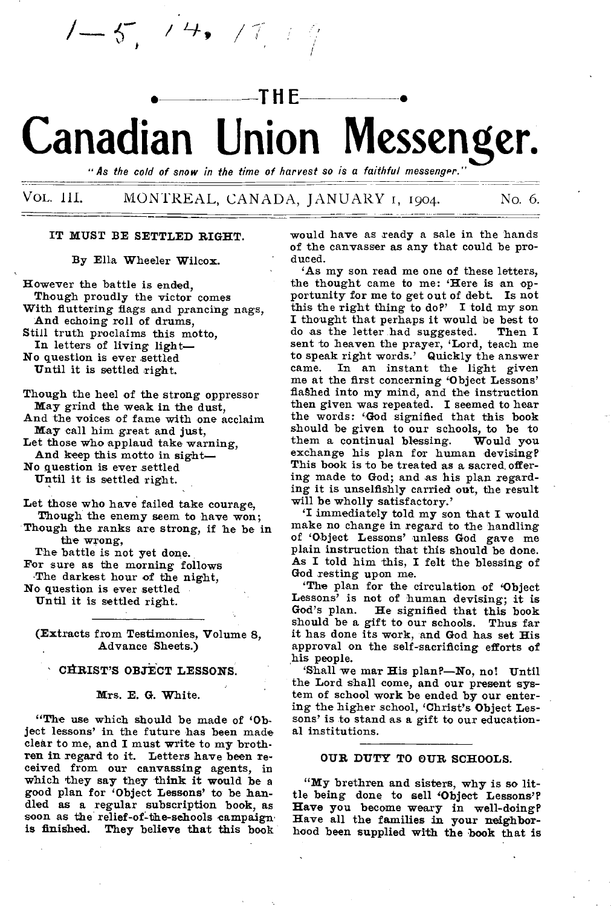# • **THE** • **Canadian Union Messenger.**

"As the cold of snow in the time of harvest so is a faithful messenger."

# VOL. III. MONTREAL, CANADA, JANUARY 1, 1904. No. 6.

# IT MUST BE SETTLED RIGHT.

 $5, 74, 77$ 

By Ella Wheeler Wilcox.

However the battle is ended, Though proudly the victor comes With fluttering flags and prancing nags, And echoing roll of drums, Still truth proclaims this motto, In letters of living light— No question is ever settled

Until it is settled right.

Though the heel of the strong oppressor May grind the weak in the dust,

And the voices of fame with one acclaim May call him great and just,

Let those who applaud take warning,

And keep this motto in sight—

No question is ever settled

Until it is settled right.

Let those who have failed take courage, Though the enemy seem to have won;

Though the ranks are strong, if he be in the wrong,

The battle is not yet done.

For sure as the morning follows

.The darkest hour of the night,

No question is ever settled Until it is settled right.

(Extracts from Testimonies, Volume 8, Advance Sheets.)

# CHRIST'S OBJECT LESSONS.

#### Mrs. E. G. White.

"The use which should be made of 'Object lessons' in the future has been made clear to me, and I must write to my brothren in regard to it. Letters have been received from our canvassing agents, in which they say they think it would be a good plan for 'Object Lessons' to be handled as a regular subscription book, as soon as the relief-of-the-schools campaign. is finished. They believe that this book

would have as ready a sale in the hands of the canvasser as any that could be produced.

'As my son read me one of these letters, the thought came to me: 'Here is an opportunity for me to get out of debt. Is not this the right thing to do?' I told my son I thought that perhaps it would be best to do as the letter had suggested. Then I do as the letter had suggested. sent to heaven the prayer, 'Lord, teach me to speak right words.' Quickly the answer came. In an instant the light given me at the first concerning 'Object Lessons' flashed into my mind, and the instruction then given was repeated. I seemed to hear the words: 'God signified that this book should be given to our schools, to be to them a continual blessing. Would you them a continual blessing. exchange his plan for human devising? This book is to be treated as a sacred, offering made to God; and as his plan regarding it is unselfishly carried out, the result will be wholly satisfactory.'

immediately told my son that I would make no change in regard to the handling of 'Object Lessons' unless God gave me plain instruction that this should be done. As **I** told him this, I felt the blessing of God resting upon me.

'The plan for the circulation of 'Object Lessons' is not of human devising; it is God's plan. He signified that this book He signified that this book should be a gift to our schools. Thus far it has done its work, and God has set His approval on the self-sacrificing efforts of his people.

'Shall we mar His plan?—No, no! Until the Lord shall come, and our present system of school work be ended by our entering the higher school, 'Christ's Object Lessons' is to stand as a gift to our educational institutions.

#### OUR DUTY TO OUR SCHOOLS.

"My brethren and sisters, why is so little being done to sell 'Object Lessons'? **Have you become weary in well-doing? Have all the families in your neighborhood been supplied with the book that is**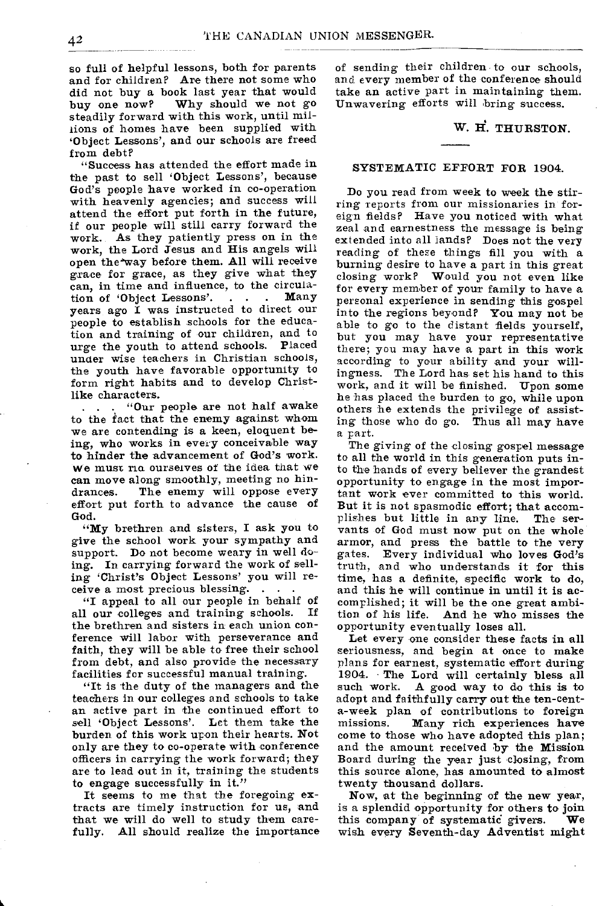so full of helpful lessons, both for parents and for children? Are there not some who did not buy a book last year that would<br>buy one now? Why should we not go Why should we not go steadily forward with this work, until millions of homes have been supplied with `Object Lessons', and our schools are freed from debt?

"Success has attended the effort made in the past to sell 'Object Lessons', because God's people have worked in co-operation with heavenly agencies; and success will attend the effort put forth in the future, if our people will still carry forward the work. As they patiently press on in the work, the Lord Jesus and His angels will open the way before them. All will receive grace for grace, as they give what they can, in time and influence, to the circulation of 'Object Lessons'. . . . years ago I was instructed to direct our people to establish schools for the education and training of our children, and to urge the youth to attend schools. Placed under wise teachers in Christian schools, the youth have favorable opportunity to form right habits and to develop Christlike characters.

"Our people are not half awake to the fact that the enemy against whom we are contending is a keen, eloquent being, who works in every conceivable way to hinder the advancement of God's work. We must rid ourselves of the idea that we can move along smoothly, meeting no hindrances. The enemy will oppose every effort put forth to advance the cause of God.

"My brethren and sisters, I ask you to give the school work your sympathy and support. Do not become weary in well doing. In carrying forward the work of selling 'Christ's Object Lessons' you will receive a most precious blessing. . . .

"I appeal to all our people in behalf of<br>Lour colleges and training schools. If all our colleges and training schools. the brethren and sisters in each union conference will labor with perseverance and faith, they will be able to free their school from debt, and also provide the necessary facilities for successful manual training.

"It is the duty of the managers and the teachers in our colleges and schools to take an active part in the continued effort to sell 'Object Lessons'. Let them take the burden of this work upon their hearts. Not only are they to co-operate with conference officers in carrying the work forward; they are to lead out in it, training the students to engage successfully in it."

It seems to me that the foregoing extracts are timely instruction for us, and that we will do well to study them carefully. All should realize the importance of sending their children to our schools, and every member of the conference should take an active part in maintaining them. Unwavering efforts will bring success.

# W. H. THURSTON.

# SYSTEMATIC EFFORT FOR 1904.

Do you read from week to week the stirring reports from our missionaries in foreign fields? Have you noticed with what zeal and earnestness the message is being extended into all lands? Does not the very reading of these things fill you with a burning desire to have a part in this great closing work? Would you not even like for every member of your family to have a personal experience in sending this gospel into the regions beyond? You may not be able to go to the distant fields yourself, but you may have your representative there; you may have a part in this work according to your ability and your willingness. The Lord has set his hand to this work, and it will be finished. Upon some he has placed the burden to go, while upon others he extends the privilege of assisting those who do go. Thus all may have a part.

The giving of the closing gospel message to all the world in this generation puts into the hands of every believer the grandest opportunity to engage in the most important work ever committed to this world. But it is not spasmodic effort; that accomplishes but little in any line. The servants of God must now put on the whole armor, and press the battle to the very gates. Every individual who loves God's truth, and who understands it for this time, has a definite, specific work to do, and this he will continue in until it is accomplished; it will be the one great ambition of his life. And he who misses the opportunity eventually loses all.

Let every one consider these facts in all seriousness, and begin at once to make plans for earnest, systematic effort during 1904. The Lord will certainly bless all such work. A good way to do this is to adopt and faithfully carry out the ten-centa-week plan of contributions to foreign<br>missions. Many rich experiences have Many rich experiences have come to those who have adopted this plan; and the amount received by the Mission Board during the year just closing, from this source alone, has amounted to almost twenty thousand dollars.

Now, at the beginning of the new year, is a splendid opportunity for others to join<br>this company of systematic givers. We this company of systematic givers. wish every Seventh-day Adventist might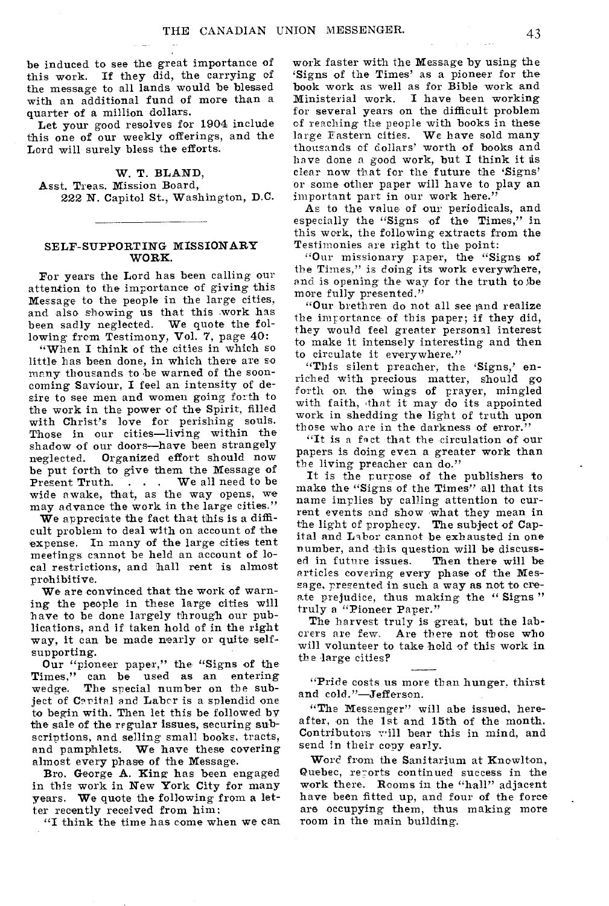be induced to see the great importance of this work. If they did, the carrying of the message to all lands would be blessed with an additional fund of more than a quarter of a million dollars.

Let your good resolves for 1904 include this one of our weekly offerings, and the Lord will surely bless the efforts.

W. T. BLAND, Asst. Treas. Mission Board, 222 N. Capitol St., Washington, D.C.

# SELF-SUPPORTING MISSIONARY WORK.

For years the Lord has been calling our attention to the importance of giving this Message to the people in the large cities, and also showing us that this work has been sadly neglected. We quote the following from Testimony, Vol. 7, page 40:

"When I think of the cities in which so little has been done, in which there are so many thousands to be warned of the sooncoming Saviour, I feel an intensity of desire to see men and women going forth to the work in the power of the Spirit, filled with Christ's love for perishing souls. Those in our cities—living within the shadow of our doors—have been strangely neglected. Organized effort should now be put forth to give them the Message of<br>Present Truth.... We all need to be  $\therefore$  . . We all need to be wide awake, that, as the way opens, we may advance the work in the large cities."

We appreciate the fact that this is a difficult problem to deal with on account of the expense. In many of the large cities tent meetings cannot be held an account of local restrictions, and hall rent is almost prohibitive.

We are convinced that the work of warning the people in these large cities will have to be done largely through our publications, and if taken hold of in the right way, it can be made nearly or quite selfsupporting.

Our "pioneer paper," the "Signs of the Times," can be used as an entering wedge. The special number on the subject of Carital and Laber is a splendid one to begin with. Then let this be followed by the sale of the regular issues, securing subscriptions, and selling small books, tracts, and pamphlets. We have these covering almost every phase of the Message.

Bro. George A. King has been engaged in this work in New York City for many years. We quote the following from a letter recently received from him:

"I think the time has come when we can

work faster with the Message by using the 'Signs of the Times' as a pioneer for the book work as well as for Bible work and Ministerial work. I have been working for several years on the difficult problem cf reaching the people with books in these large Eastern cities. We have sold many thousands of dollars' worth of books and have done a good work, but I think it is clear now that for the future the 'Signs' or some other paper will have to play an important part in our work here."

As to the value of our periodicals, and especially the "Signs of the Times," in this work, the following extracts from the Testimonies are right to the point:

"Our missionary paper, the "Signs of the Times," is doing its work everywhere, and is opening the way for the truth to be mare fully presented."

"Our brethren do not all see and realize the importance• of this paper; if they did, they would feel greater personal interest to make it intensely interesting and then to circulate it everywhere."

"This silent preacher, the 'Signs,' enriched with precious matter, should go forth On the wings of prayer, mingled with faith, that it may do its appointed work in shedding the light of truth upon those who are in the darkness of error."

"It is a fact that the circulation of our papers is doing even a greater work than the living preacher can do."

It is the purpose of the publishers to make the "Signs of the Times" all that its name implies by calling attention to current events and show what they mean in the light of prophecy. The subject of Capital and Labor cannot be exhausted in one number, and this question will be discuss-<br>ed in future issues. Then there will be ed in future issues. articles covering every phase of the Message, presented in such a way as not to create prejudice, thus making the "Signs" truly a "Pioneer Paper."

The harvest truly is great, but the laborers are few, Are there not those who will volunteer to take hold of this work in the large cities?

"Pride costs us more than hunger, thirst and cold."-Jefferson.

"The Messenger" will abe issued, hereafter, on the 1st and 15th of the month. Contributors will bear this in mind, and send in their copy early.

Word from the Sanitarium at Knowlton, Quebec, reports continued success in the work there. Rooms in the "hall" adjacent have been fitted up, and four of the force are occupying them, thus making more room in the main building.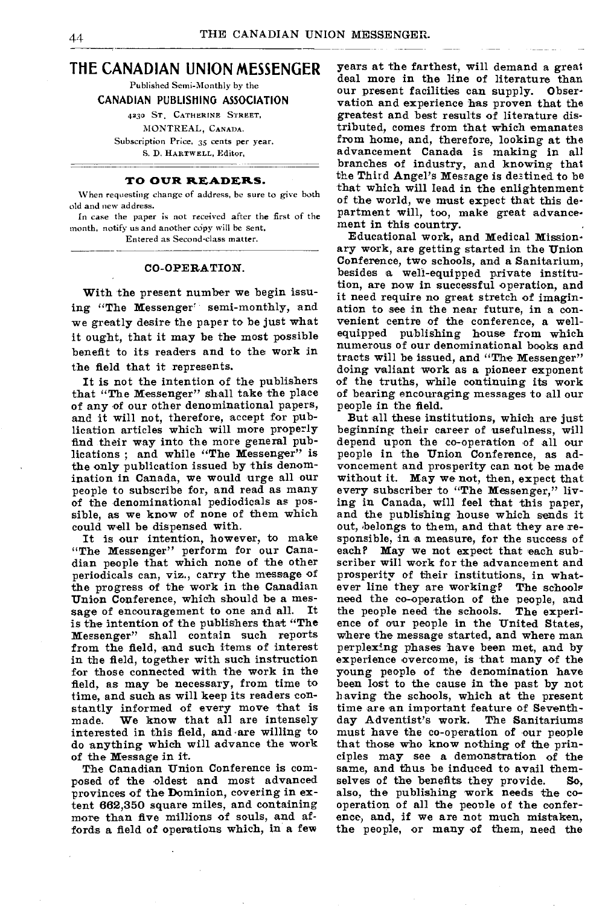# **THE CANADIAN UNION MESSENGER**

Published Semi-Monthly by the

#### CANADIAN PUBLISHING ASSOCIATION

4230 ST, CATHERINE STREET,

MONTREAL, CANADA.

Subscription Price, 35 cents per year. S. D. HARTWELL, Editor,

## **TO OUR READERS.**

When requesting change of address, be sure to give both old and new address.

In case the paper is not received after the first of the month, notify us and another copy will be sent.

Entered as Second-class matter.

#### CO-OPERATION.

With the present number we begin issuing "The Messenger' semi-monthly, and we greatly desire the paper to be just what it ought, that it may be the most possible benefit to its readers and to the work in the field that it represents.

It is not the intention of the publishers that "The Messenger" shall take the place of any of our other denominational papers, and it will not, therefore, accept for publication articles which will more properly find their way into the more general publications; and while "The Messenger" is the only publication issued by this denomination in Canada, we would urge all our people to subscribe for, and read as many of the denominational pediodicals as possible, as we know of none of them which could well be dispensed with.

It is our intention, however, to make "The Messenger" perform for our Canadian people that which none of the other periodicals can, viz., carry the message of the progress of the work in the Canadian Union Conference, which should be a mes-<br>sage of encouragement to one and all. It sage of encouragement to one and all. is the intention of the publishers that "The Messenger" shall contain such reports from the field, and such items of interest in the field, together with such instruction for those connected with the work in the *field, as* may be necessary, from time to time, and such as will keep its readers constantly informed of every move that is<br>made. We know that all are intensely We know that all are intensely interested in this field, and are willing to do anything which will advance the work of the Message in it.

The Canadian Union Conference is composed of the oldest and most advanced provinces of the Dominion, covering in extent 662,350 square miles, and containing more than five millions of souls, and affords a field of operations which, in a few

years at the farthest, will demand a great deal more in the line of literature than our present facilities can supply. Observation and experience has proven that the greatest and best results of literature distributed, comes from that which emanates from home, and, therefore, looking at the advancement Canada is making in all branches of industry, and knowing that the Third Angel's Message is destined to be that which will lead in the enlightenment of the world, we must expect that this department will, too, make great advancement in this country.

Educational work, and Medical Missionary work, are getting started in the Union Conference, two schools, and a Sanitarium, besides a well-equipped private institution, are now in successful operation, and it need require no great stretch of imagination to see in the near future, in a convenient centre of the conference, a wellequipped publishing house from which numerous of our denominational books and tracts will be issued, and "The Messenger" doing valiant work as a pioneer exponent of the truths, while continuing its work of bearing encouraging messages to all our people in the field.

But all these institutions, which are just beginning their career of usefulness, will depend upon the co-operation of all our people in the Union Conference, as advoncement and prosperity can not be made without it. May we not, then, expect that every subscriber to "The Messenger," living in Canada, will feel that this paper, and the publishing house which sends it out, belongs to them, and that they are responsible, in a measure, for the success of each? May we not expect that each subscriber will work for the advancement and prosperity of their institutions, in whatever line they are working? The schools need the co-operation of the people, and<br>the people need the schools. The experithe people need the schools. ence of our people in the United States, where the message started, and where man perplexing phases have been met, and by experience overcome, is that many of the young people of the denomination have been lost to the cause in the past by not having the schools, which at the present time are an important feature of Seventh-<br>day Adventist's work. The Sanitariums day Adventist's work. must have the co-operation of our people that those who know nothing of the principles may see a demonstration of the same, and thus be induced to avail them-<br>selves of the benefits they provide. So. selves of the benefits they provide. also, the publishing work needs the cooperation of all the people of the conference, and, if we are not much mistaken, the people, or many of them, need the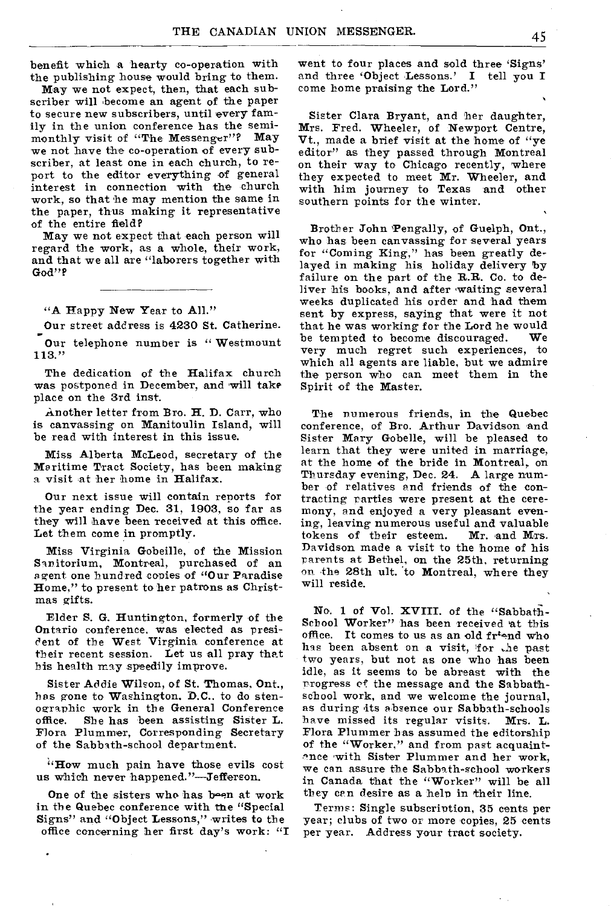benefit which a hearty co-operation with the publishing house would bring to them.

May we not expect, then, that each subscriber will become an agent of the paper to secure new subscribers, until every family in the union conference has the semimonthly visit of "The Messenger"? May we not have the co-operation of every subscriber, at least one in each church, to report to the editor everything of general interest in connection with the church work, so that he may mention the same in the paper, thus making it representative of the entire field?

May we not expect that each person will regard the work, as a whole, their work, and that we all are "laborers together with God"?

"A Happy New Year to All."

Our street address is 4230 St. Catherine.

Our telephone number is "Westmount 113."

The dedication of the Halifax church was postponed in December, and will take place on the 3rd inst.

Another letter from Bro. H. D. Carr, who is canvassing on Manitoulin Island, will be read with interest in this issue.

Miss Alberta McLeod, secretary of the Maritime Tract Society, has been making a visit at her home in Halifax.

Our next issue will contain reports for the year ending Dec. 31, 1903, so far as they will have been received at this office. Let them come in promptly.

Miss Virginia Gebeille, of the Mission Sanitorium, Montreal, purchased of an agent one hundred copies of "Our Paradise Home," to present to her patrons as Christmas gifts.

Elder S. G. Huntington, formerly of the Ontario conference, was elected as president of the West Virginia conference at their recent session. Let us all pray that his health may speedily improve.

Sister Addie Wilson, of St. Thomas, Ont., has gone to Washington. D.C.. to do stenographic work in the General Conference office. She has been assisting Sister L. Flora Plummer, Corresponding Secretary of the Sabbath-school department.

"How much pain have those evils cost us which never happened."—Jefferson.

One of the sisters who has been at work in the Quebec conference with the "Special Signs" and "Object Lessons," writes to the office concerning her first day's work: "I went to four places and sold three 'Signs' and three 'Object Lessons.' I tell you I come home praising the Lord."

Sister Clara Bryant, and her daughter, Mrs. Fred. Wheeler, of Newport Centre, Vt., made a brief visit at the home of "ye editor" as they passed through Montreal on their way to Chicago recently, where they expected to meet Mr. Wheeler, and with him journey to Texas and other southern points for the winter.

Brother John Pengally, of Guelph, Ont., who has been canvassing for several years for "Coming King," has been greatly delayed in making his holiday delivery by failure on the part of the **R.R. Co.** to deliver his books, and after waiting several weeks duplicated his order and had them sent by express, saying that were it not that he was working for the Lord he would<br>be tempted to become discouraged. We be tempted to become discouraged. very much regret such experiences, to which all agents are liable, but we admire the person who can meet them in the Spirit of the Master.

The numerous friends, in the Quebec conference, of Bro. Arthur Davidson and Sister Mary Gobelle, will be pleased to learn that they were united in marriage, at the home of the bride in Montreal, on Thursday evening, Dec. 24. A large number of relatives and friends of the contracting parties were present at the ceremony, and enjoyed a very pleasant evening, leaving numerous useful and valuable<br>tokens of their esteem. Mr. and Mrs. tokens of their esteem. Davidson made a visit to the home of his Parents at Bethel, on the 25th, returning on •the 28th ult. 'to Montreal, where they will reside.

No. 1 of Vol. XVIII. of the "Sabbath-School Worker" has been received at this office. It comes to us as an old fr'end who has been absent on a visit, for the past two years, but not as one who has been idle, as it seems to be abreast with the Progress of the message and the Sabbathschool work, and we welcome the journal, as during its absence our Sabbath-schools have missed its regular visits. Mrs. L. Flora Plummer has assumed the editorship of the "Worker," and from past acquaintance with Sister Plummer and her work, we can assure the Sabbath-school workers in Canada that the "Worker" will be all they can desire as a help in their line.

Terms: Single subscription, 35 cents per year; clubs of two or more copies, 25 cents per year. Address your tract society.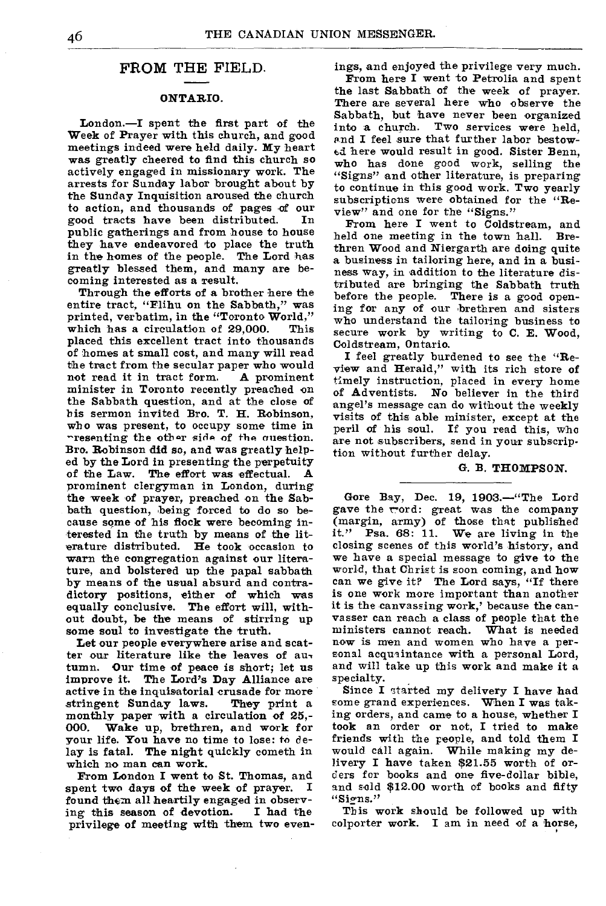# FROM THE FIELD.

## **ONTARIO.**

London.—I spent the first part of the Week of Prayer with this church, and good meetings indeed were held daily. My heart was greatly cheered to find this church so actively engaged in missionary work. The arrests for Sunday labor brought about by the Sunday Inquisition aroused the church to action, and thousands of pages of our good tracts have been distributed. public gatherings and from house to house they have endeavored to place the truth in the homes of the people. The Lord has greatly blessed them, and many are becoming interested as a result.

Through the efforts of a brother here the entire tract, "Flihu on the Sabbath," was printed, verbatim, in the "Toronto World," which has a circulation of 29,000. This placed this excellent tract into thousands of homes at small cost, and many will read the tract from the secular paper who would<br>not read it in tract form. A prominent not read it in tract form. minister in Toronto recently preached on the Sabbath question, and at the close of his sermon invited Bro. T. H. Robinson, who was present, to occupy some time in rresenting the other side of the question. Bro. Robinson **did** so, and was greatly helped by the Lord in presenting the perpetuity<br>of the Law. The effort was effectual. A The effort was effectual. prominent clergyman in London, during the week of prayer, preached on the Sabbath question, being forced to do so because some of his flock were becoming interested in the truth by means of the literature distributed. He took occasion to warn the congregation against our literature, and bolstered up the papal sabbath by means of the usual absurd and contradictory positions, either of which was equally conclusive. The effort will, without doubt, be the means of stirring up some soul to investigate the truth.

Let our people everywhere arise and scatter our literature like the leaves of au, tumn. Our time of peace is short; let us improve it. The Lord's  $Day$  Alliance are active in the inquisatorial crusade for more<br>stringent Sunday laws. They print a stringent Sunday laws. monthly paper with a circulation of 25,-<br>000. Wake up, brethren, and work for Wake up, brethren, and work for your life. You have no time to lose: to delay is fatal. The night quickly cometh in which no man can work.

From London I went to St. Thomas, and spent two days of the week of prayer. found them all heartily engaged in observ-<br>ing this season of devotion. I had the ing this season of devotion. privilege of meeting with them two even*ings,* and enjoyed the privilege very much.

From here **I** went to Petrolia and spent the last Sabbath of the week of prayer. There are several here who observe the Sabbath, but have never been organized<br>into a church. Two services were held, Two services were held, and I feel sure that further labor bestowed here would result in good. Sister Benn, who has done good work, selling the "Signs" and other literature, is preparing to continue in this good work. Two yearly subscriptions were obtained for the "Review" and one for the "Signs."

From here I went to Coldstream, and held one meeting in the town hall. Brethren Wood and Niergarth are doing quite a business in tailoring here, and in a business way, in addition to the literature distributed are bringing the Sabbath truth before the people. There is a good opening for any of our brethren and sisters who understand the tailoring business to secure work by writing to C. E. Wood, Coldstream, Ontario.

I feel greatly burdened to see the "Review and Herald," with its rich store of timely instruction, placed in every home of Adventists. No believer in the third angel's message can do without the weekly visits of this able minister, except at the peril of his soul. If you read this, who are not subscribers, send in your subscription without further delay.

#### G. **B. THOMPSON.**

Gore Bay, Dec. 19, 1903.—"The Lord gave the cord: great was the company (margin, army) of those that published it." Psa. 68: 11. We are living in the closing scenes of this world's history, and we have a special message to give to the world, that Christ is soon coming, and how can we give it? The Lord says, "If there is one work more important than another it is the canvassing work,' because the canvasser can reach a class of people that the ministers cannot reach. What is needed now is men and women who have a personal acquaintance with a personal Lord, and will take up this work and make it a specialty.

Since I started my delivery I have had some grand experiences. When I was taking orders, and came to a house, whether I took an order or not, I tried to make friends with the people, and told them I would call again. While making my delivery I have taken \$21.55 worth of orders for books and one five-dollar bible, and sold \$12.00 worth of books and fifty "Signs."

This work should be followed up with colporter work. I am in need of a horse,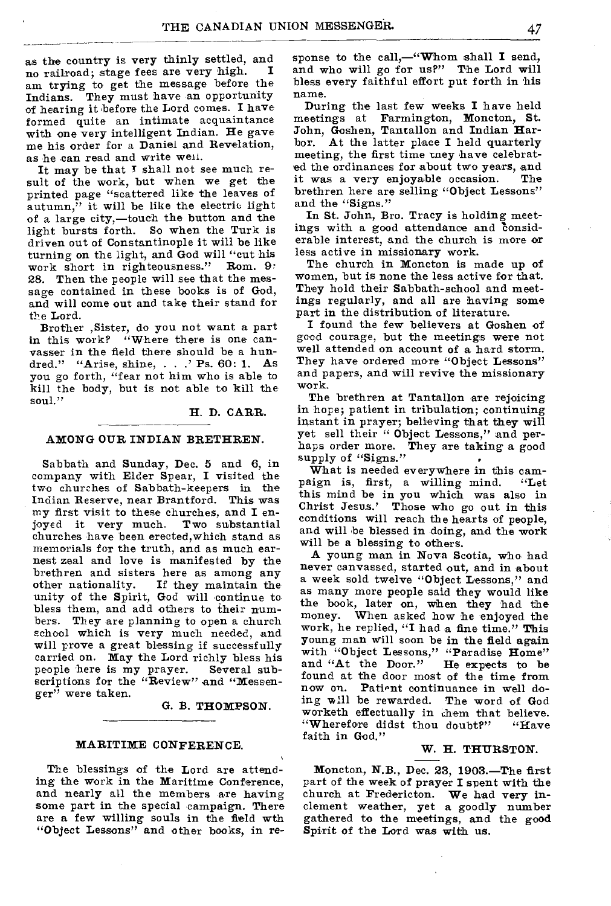as the country is very thinly settled, and<br>no poilpod: stage fees are very high no railroad; stage fees are very high. I am trying to get the message before the Indians. They must have an opportunity of hearing it before the Lord comes. I have formed quite an intimate acquaintance with one very intelligent Indian. He gave me his order for a Daniel and Revelation, as he can read and write weil.

It may be that T shall not see much result of the work, but when we get the printed page "scattered like the leaves of autumn," it will be like the electric light of a large city,—touch the button and the light bursts forth. So when the Turk is driven out of Constantinople it will be like turning on the light, and God will "cut his work short in righteousness." Rom. 9: work short in righteousness." 28. Then the people will see that the message contained in these books is of God, and will come out and take their stand for the Lord.

Brother ,Sister, do you not want a part in this work? "Where there is one canvasser in the field there should be a hundred." "Arise, shine, . . .' Ps. 60: 1. As you go forth, "fear not him who is able to kill the body, but is not able to kill the soul."

H. D. CARR.

### AMONG OUR INDIAN BRETHREN.

Sabbath and Sunday, Dec. 5 and 6, in company with Elder Spear, I visited the two churches of Sabbath-keepers in the Indian Reserve, near Brantford. This was my first visit to these churches, and I en-<br>joyed it very much. Two substantial joyed it very much. churches have been erected,which stand as memorials for the truth, and as much earnest zeal and love is manifested by the brethren and sisters here as among any<br>other nationality. If they maintain the If they maintain the unity of the Spirit, God will continue to bless them, and add others to their numbers. They are planning to open a church school which is very much needed, and will prove a great blessing if successfully carried on. May the Lord richly bless his people here is my prayer. Several subscriptions for the "Review" and "Messenger" were taken.

G. B. THOMPSON.

#### MARITIME CONFERENCE.

The blessings of the Lord are attending the work in the Maritime Conference, and nearly all the members are having some part in the special campaign. There are a few willing souls in the field wth "Object Lessons" and other books, in re-

sponse to the call,-"Whom shall I send, and who will go for us?" The Lord will bless every faithful effort put forth in his name.

During the last few weeks I have held meetings at Farmington, Moncton, St. John, Goshen, Tantallon and Indian Harbor. At the latter place I held quarterly meeting, the first time tney have celebrated the ordinances for about two years, and<br>it was a very enjoyable occasion. The it was a very enjoyable occasion. brethren here are selling "Object Lessons" and the "Signs."

In St. John, Bro. Tracy is holding meetings with a good attendance and considerable interest, and the church is more or less active in missionary work.

The church in Moncton is made up of women, but is none the less active for that. They hold their Sabbath-school and meetings regularly, and all are having some part in the distribution of literature.

I found the few believers at Goshen of good courage, but the meetings were not well attended on account of a hard storm. They have ordered more "Object Lessons" and papers, and will revive the missionary work.

The brethren at Tantallon are rejoicing in hope; patient in tribulation; continuing instant in prayer; believing that they will yet sell their " Object Lessons," and perhaps order more. They are taking a good supply of "Signs."

What is needed everywhere in this campaign is, first, a willing mind. "Let this mind be in you which was also in Christ Jesus.' Those who go out in this conditions will reach the hearts of people, and will be blessed in doing, and the work will be a blessing to others.

A young man in Nova Scotia, who had never canvassed, started out, and in about a week sold twelve "Object Lessons," and as many more people said they would like the book, later on, when they had the money. When asked how he enjoyed the work, he replied, "I had a fine time." This young man will soon be in the field again with "Object Lessons," "Paradise Home" and "At the Door." He expects to be and "At the Door." He expects to be found at the door most of the time from now on. Patient continuance in well doing will be rewarded. The word of God worketh effectually in them that believe.<br>"Wherefore didst thou doubt?" "Have "Wherefore didst thou doubt?" faith in God."

### W. H. THURSTON.

Moncton, N.B., Dec. 23, 1903.—The first part of the week of prayer I spent with the church at Fredericton. We had very inclement weather, yet a goodly number gathered to the meetings, and the good Spirit of the Lord was with us.